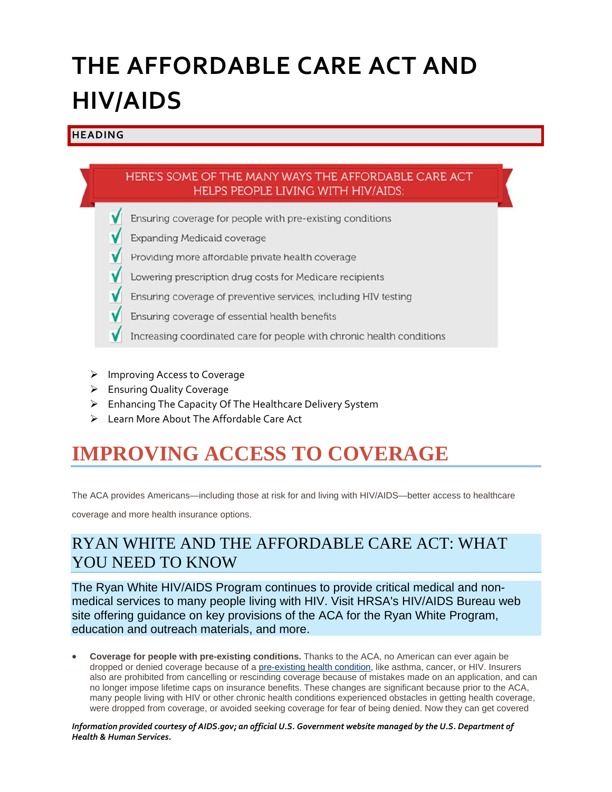# **THE AFFORDABLE CARE ACT AND HIV/AIDS**

#### **HEADING**

### HERE'S SOME OF THE MANY WAYS THE AFFORDABLE CARE ACT **HELPS PEOPLE LIVING WITH HIV/AIDS:**

- Ensuring coverage for people with pre-existing conditions
- **Expanding Medicaid coverage**
- Providing more affordable private health coverage
- Lowering prescription drug costs for Medicare recipients
- Ensuring coverage of preventive services, including HIV testing
- Ensuring coverage of essential health benefits
- Increasing coordinated care for people with chronic health conditions
- ▶ Improving Access to Coverage
- Ensuring Quality Coverage
- Enhancing The Capacity Of The Healthcare Delivery System
- Elearn More About The Affordable Care Act

# **IMPROVING ACCESS TO COVERAGE**

The ACA provides Americans—including those at risk for and living with HIV/AIDS—better access to healthcare

coverage and more health insurance options.

### RYAN WHITE AND THE AFFORDABLE CARE ACT: WHAT YOU NEED TO KNOW

The Ryan White HIV/AIDS Program continues to provide critical medical and nonmedical services to many people living with HIV. Visit HRSA's HIV/AIDS Bureau web site offering guidance on key provisions of the ACA for the Ryan White Program, education and outreach materials, and more.

 **Coverage for people with pre-existing conditions.** Thanks to the ACA, no American can ever again be dropped or denied coverage because of a pre-existing health condition, like asthma, cancer, or HIV. Insurers also are prohibited from cancelling or rescinding coverage because of mistakes made on an application, and can no longer impose lifetime caps on insurance benefits. These changes are significant because prior to the ACA, many people living with HIV or other chronic health conditions experienced obstacles in getting health coverage, were dropped from coverage, or avoided seeking coverage for fear of being denied. Now they can get covered

*Information provided courtesy of AIDS.gov; an official U.S. Government website managed by the U.S. Department of Health & Human Services.*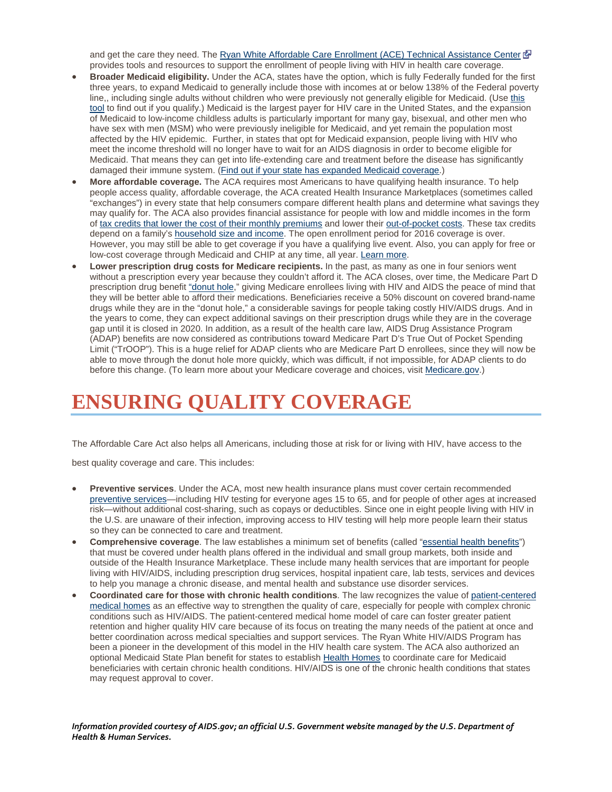and get the care they need. The Ryan White Affordable Care Enrollment (ACE) Technical Assistance Center provides tools and resources to support the enrollment of people living with HIV in health care coverage.

- **Broader Medicaid eligibility.** Under the ACA, states have the option, which is fully Federally funded for the first three years, to expand Medicaid to generally include those with incomes at or below 138% of the Federal poverty line,, including single adults without children who were previously not generally eligible for Medicaid. (Use this tool to find out if you qualify.) Medicaid is the largest payer for HIV care in the United States, and the expansion of Medicaid to low-income childless adults is particularly important for many gay, bisexual, and other men who have sex with men (MSM) who were previously ineligible for Medicaid, and yet remain the population most affected by the HIV epidemic. Further, in states that opt for Medicaid expansion, people living with HIV who meet the income threshold will no longer have to wait for an AIDS diagnosis in order to become eligible for Medicaid. That means they can get into life-extending care and treatment before the disease has significantly damaged their immune system. (Find out if your state has expanded Medicaid coverage.)
- **More affordable coverage.** The ACA requires most Americans to have qualifying health insurance. To help people access quality, affordable coverage, the ACA created Health Insurance Marketplaces (sometimes called "exchanges") in every state that help consumers compare different health plans and determine what savings they may qualify for. The ACA also provides financial assistance for people with low and middle incomes in the form of tax credits that lower the cost of their monthly premiums and lower their out-of-pocket costs. These tax credits depend on a family's household size and income. The open enrollment period for 2016 coverage is over. However, you may still be able to get coverage if you have a qualifying live event. Also, you can apply for free or low-cost coverage through Medicaid and CHIP at any time, all year. Learn more.
- **Lower prescription drug costs for Medicare recipients.** In the past, as many as one in four seniors went without a prescription every year because they couldn't afford it. The ACA closes, over time, the Medicare Part D prescription drug benefit "donut hole," giving Medicare enrollees living with HIV and AIDS the peace of mind that they will be better able to afford their medications. Beneficiaries receive a 50% discount on covered brand-name drugs while they are in the "donut hole," a considerable savings for people taking costly HIV/AIDS drugs. And in the years to come, they can expect additional savings on their prescription drugs while they are in the coverage gap until it is closed in 2020. In addition, as a result of the health care law, AIDS Drug Assistance Program (ADAP) benefits are now considered as contributions toward Medicare Part D's True Out of Pocket Spending Limit ("TrOOP"). This is a huge relief for ADAP clients who are Medicare Part D enrollees, since they will now be able to move through the donut hole more quickly, which was difficult, if not impossible, for ADAP clients to do before this change. (To learn more about your Medicare coverage and choices, visit Medicare.gov.)

## **ENSURING QUALITY COVERAGE**

The Affordable Care Act also helps all Americans, including those at risk for or living with HIV, have access to the

best quality coverage and care. This includes:

- **Preventive services**. Under the ACA, most new health insurance plans must cover certain recommended preventive services—including HIV testing for everyone ages 15 to 65, and for people of other ages at increased risk—without additional cost-sharing, such as copays or deductibles. Since one in eight people living with HIV in the U.S. are unaware of their infection, improving access to HIV testing will help more people learn their status so they can be connected to care and treatment.
- **Comprehensive coverage**. The law establishes a minimum set of benefits (called "essential health benefits") that must be covered under health plans offered in the individual and small group markets, both inside and outside of the Health Insurance Marketplace. These include many health services that are important for people living with HIV/AIDS, including prescription drug services, hospital inpatient care, lab tests, services and devices to help you manage a chronic disease, and mental health and substance use disorder services.
- **Coordinated care for those with chronic health conditions**. The law recognizes the value of patient-centered medical homes as an effective way to strengthen the quality of care, especially for people with complex chronic conditions such as HIV/AIDS. The patient-centered medical home model of care can foster greater patient retention and higher quality HIV care because of its focus on treating the many needs of the patient at once and better coordination across medical specialties and support services. The Ryan White HIV/AIDS Program has been a pioneer in the development of this model in the HIV health care system. The ACA also authorized an optional Medicaid State Plan benefit for states to establish Health Homes to coordinate care for Medicaid beneficiaries with certain chronic health conditions. HIV/AIDS is one of the chronic health conditions that states may request approval to cover.

*Information provided courtesy of AIDS.gov; an official U.S. Government website managed by the U.S. Department of Health & Human Services.*